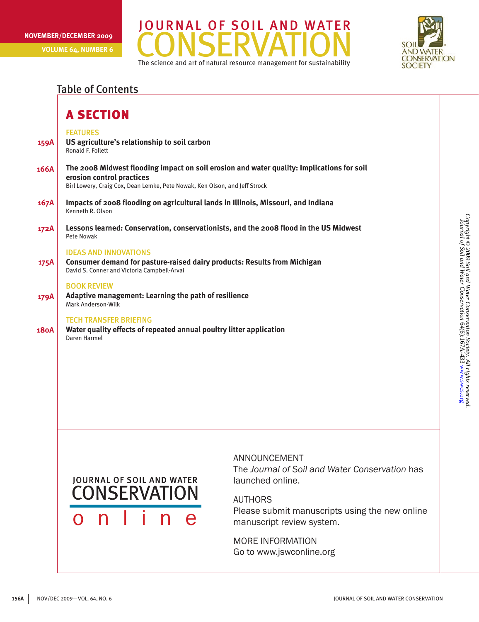**Volume 64, Number 6**





## Table of Contents

|             | <b>A SECTION</b>                                                                                                                                        |                                                                                           |  |
|-------------|---------------------------------------------------------------------------------------------------------------------------------------------------------|-------------------------------------------------------------------------------------------|--|
| 159A        | <b>FEATURES</b><br>US agriculture's relationship to soil carbon<br>Ronald F. Follett                                                                    |                                                                                           |  |
| 166A        | erosion control practices<br>Birl Lowery, Craig Cox, Dean Lemke, Pete Nowak, Ken Olson, and Jeff Strock                                                 | The 2008 Midwest flooding impact on soil erosion and water quality: Implications for soil |  |
| 167A        | Impacts of 2008 flooding on agricultural lands in Illinois, Missouri, and Indiana<br>Kenneth R. Olson                                                   |                                                                                           |  |
| 172A        | Lessons learned: Conservation, conservationists, and the 2008 flood in the US Midwest<br>Pete Nowak                                                     |                                                                                           |  |
| 175A        | <b>IDEAS AND INNOVATIONS</b><br>Consumer demand for pasture-raised dairy products: Results from Michigan<br>David S. Conner and Victoria Campbell-Arvai |                                                                                           |  |
| 179A        | <b>BOOK REVIEW</b><br>Adaptive management: Learning the path of resilience<br>Mark Anderson-Wilk                                                        |                                                                                           |  |
| <b>180A</b> | <b>TECH TRANSFER BRIEFING</b><br>Water quality effects of repeated annual poultry litter application<br>Daren Harmel                                    |                                                                                           |  |
|             |                                                                                                                                                         |                                                                                           |  |
|             | <b>JOURNAL OF SOIL AND WATER</b><br><b>CONSERVATION</b>                                                                                                 | ANNOUNCEMENT<br>The Journal of Soil and Water Conservation has<br>launched online.        |  |
|             |                                                                                                                                                         | AUTHORS                                                                                   |  |

AUTHORS Please submit manuscripts using the new online manuscript review system.

MORE INFORMATION Go to www.jswconline.org

o n l i n e